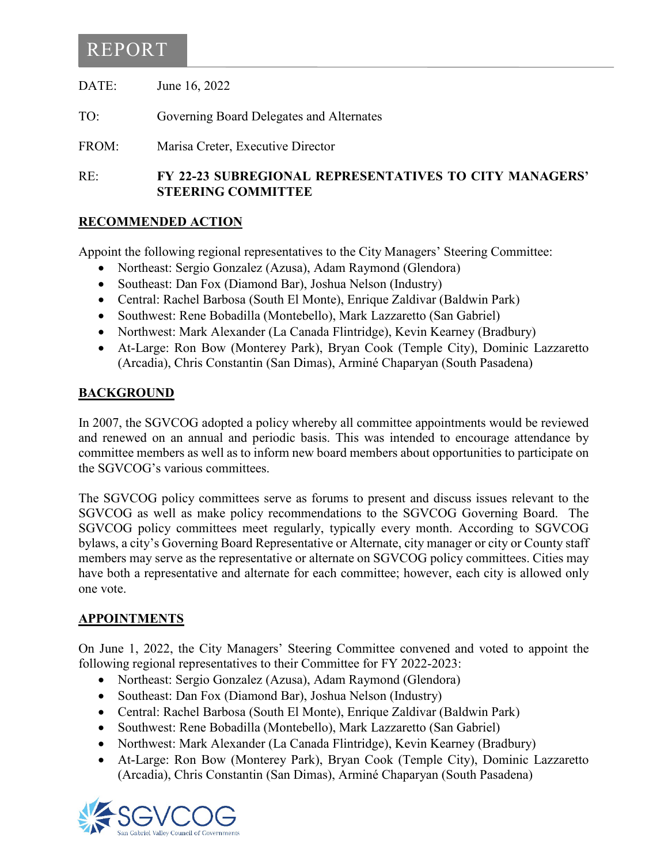## REPORT

DATE: June 16, 2022

TO: Governing Board Delegates and Alternates

FROM: Marisa Creter, Executive Director

RE: **FY 22-23 SUBREGIONAL REPRESENTATIVES TO CITY MANAGERS' STEERING COMMITTEE**

### **RECOMMENDED ACTION**

Appoint the following regional representatives to the City Managers' Steering Committee:

- Northeast: Sergio Gonzalez (Azusa), Adam Raymond (Glendora)
- Southeast: Dan Fox (Diamond Bar), Joshua Nelson (Industry)
- Central: Rachel Barbosa (South El Monte), Enrique Zaldivar (Baldwin Park)
- Southwest: Rene Bobadilla (Montebello), Mark Lazzaretto (San Gabriel)
- Northwest: Mark Alexander (La Canada Flintridge), Kevin Kearney (Bradbury)
- At-Large: Ron Bow (Monterey Park), Bryan Cook (Temple City), Dominic Lazzaretto (Arcadia), Chris Constantin (San Dimas), Arminé Chaparyan (South Pasadena)

### **BACKGROUND**

In 2007, the SGVCOG adopted a policy whereby all committee appointments would be reviewed and renewed on an annual and periodic basis. This was intended to encourage attendance by committee members as well as to inform new board members about opportunities to participate on the SGVCOG's various committees.

The SGVCOG policy committees serve as forums to present and discuss issues relevant to the SGVCOG as well as make policy recommendations to the SGVCOG Governing Board. The SGVCOG policy committees meet regularly, typically every month. According to SGVCOG bylaws, a city's Governing Board Representative or Alternate, city manager or city or County staff members may serve as the representative or alternate on SGVCOG policy committees. Cities may have both a representative and alternate for each committee; however, each city is allowed only one vote.

#### **APPOINTMENTS**

On June 1, 2022, the City Managers' Steering Committee convened and voted to appoint the following regional representatives to their Committee for FY 2022-2023:

- Northeast: Sergio Gonzalez (Azusa), Adam Raymond (Glendora)
- Southeast: Dan Fox (Diamond Bar), Joshua Nelson (Industry)
- Central: Rachel Barbosa (South El Monte), Enrique Zaldivar (Baldwin Park)
- Southwest: Rene Bobadilla (Montebello), Mark Lazzaretto (San Gabriel)
- Northwest: Mark Alexander (La Canada Flintridge), Kevin Kearney (Bradbury)
- At-Large: Ron Bow (Monterey Park), Bryan Cook (Temple City), Dominic Lazzaretto (Arcadia), Chris Constantin (San Dimas), Arminé Chaparyan (South Pasadena)